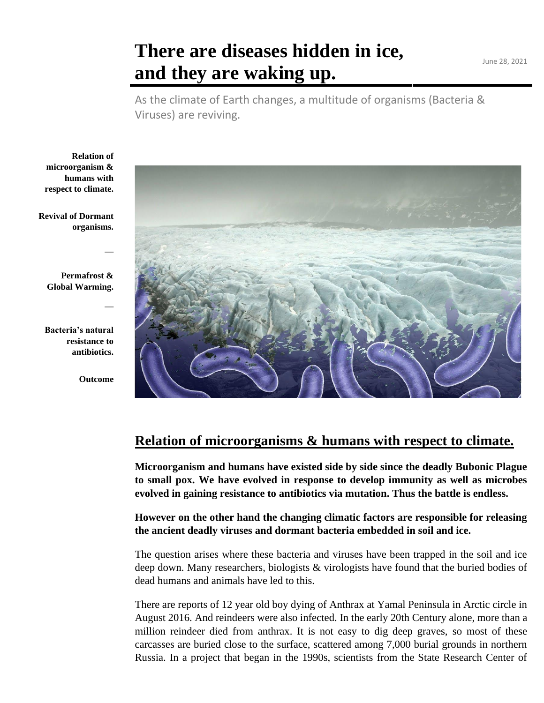## **There are diseases hidden in ice, and they are waking up.**

As the climate of Earth changes, a multitude of organisms (Bacteria & Viruses) are reviving.

**Relation of microorganism & humans with respect to climate.**

**Revival of Dormant organisms.**

**Permafrost & Global Warming.**

**Bacteria's natural resistance to antibiotics.**

**Outcome**

 $\overline{\phantom{a}}$ 

 $\overline{\phantom{a}}$ 



#### **Relation of microorganisms & humans with respect to climate.**

**Microorganism and humans have existed side by side since the deadly Bubonic Plague to small pox. We have evolved in response to develop immunity as well as microbes evolved in gaining resistance to antibiotics via mutation. Thus the battle is endless.**

**However on the other hand the changing climatic factors are responsible for releasing the ancient deadly viruses and dormant bacteria embedded in soil and ice.**

The question arises where these bacteria and viruses have been trapped in the soil and ice deep down. Many researchers, biologists & virologists have found that the buried bodies of dead humans and animals have led to this.

There are reports of 12 year old boy dying of Anthrax at Yamal Peninsula in Arctic circle in August 2016. And reindeers were also infected. In the early 20th Century alone, more than a million reindeer died from anthrax. It is not easy to dig deep graves, so most of these carcasses are buried close to the surface, scattered among 7,000 burial grounds in northern Russia. In a project that began in the 1990s, scientists from the State Research Center of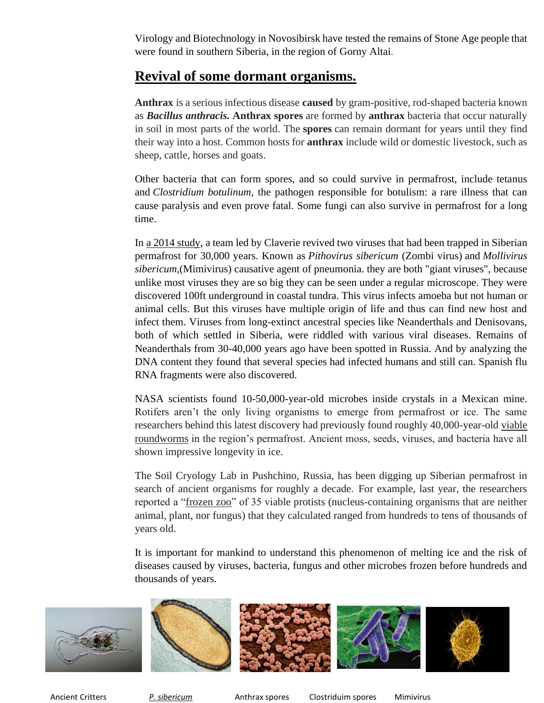Virology and Biotechnology in Novosibirsk have [tested](http://www.istc.int/en/project/84980DF9853EABD94325690B000F3840) the remains of Stone Age people that were found in southern Siberia, in the region of Gorny Altai.

#### **Revival of some dormant organisms.**

**Anthrax** is a serious infectious disease **caused** by gram-positive, rod-shaped bacteria known as *Bacillus anthracis.* **Anthrax spores** are formed by **anthrax** bacteria that occur naturally in soil in most parts of the world. The **spores** can remain dormant for years until they find their way into a host. Common hosts for **anthrax** include wild or domestic livestock, such as sheep, cattle, horses and goats.

Other bacteria that can form spores, and so could survive in permafrost, include tetanus and *Clostridium botulinum*, the pathogen responsible for botulism: a rare illness that can cause paralysis and even prove fatal. Some fungi can also survive in permafrost for a long time.

In a [2014 study,](http://dx.doi.org/10.1073/pnas.1320670111) a team led by Claverie revived two viruses that had been trapped in Siberian permafrost for 30,000 years. Known as *Pithovirus sibericum* (Zombi virus) and *Mollivirus sibericum*,(Mimivirus) causative agent of pneumonia. they are both "giant viruses", because unlike most viruses they are so big they can be seen under a regular microscope. They were discovered 100ft underground in coastal tundra. This virus infects amoeba but not human or animal cells. But this viruses have multiple origin of life and thus can find new host and infect them. Viruses from long-extinct ancestral species like Neanderthals and Denisovans, both of which settled in Siberia, were riddled with various viral diseases. Remains of Neanderthals from 30-40,000 years ago have been spotted in Russia. And by analyzing the DNA content they found that several species had infected humans and still can. Spanish flu RNA fragments were also discovered.

NASA scientists found 10-50,000-year-old microbes inside crystals in a Mexican mine. Rotifers aren't the only living organisms to emerge from permafrost or ice. The same researchers behind this latest discovery had previously found roughly 40,000-year-old [viable](https://www.smithsonianmag.com/smart-news/ancient-roundworms-allegedly-resurrected-russian-permafrost-180969782/)  [roundworms](https://www.smithsonianmag.com/smart-news/ancient-roundworms-allegedly-resurrected-russian-permafrost-180969782/) in the region's permafrost. Ancient moss, seeds, viruses, and bacteria have all shown impressive longevity in ice.

The Soil Cryology Lab in Pushchino, Russia, has been digging up Siberian permafrost in search of ancient organisms for roughly a decade. For example, last year, the researchers reported a ["frozen zoo"](https://bdj.pensoft.net/article/51586/) of 35 viable protists (nucleus-containing organisms that are neither animal, plant, nor fungus) that they calculated ranged from hundreds to tens of thousands of years old.

It is important for mankind to understand this phenomenon of melting ice and the risk of diseases caused by viruses, bacteria, fungus and other microbes frozen before hundreds and thousands of years.



Ancient Critters *P. sibericum* Anthrax spores Clostriduim spores Mimivirus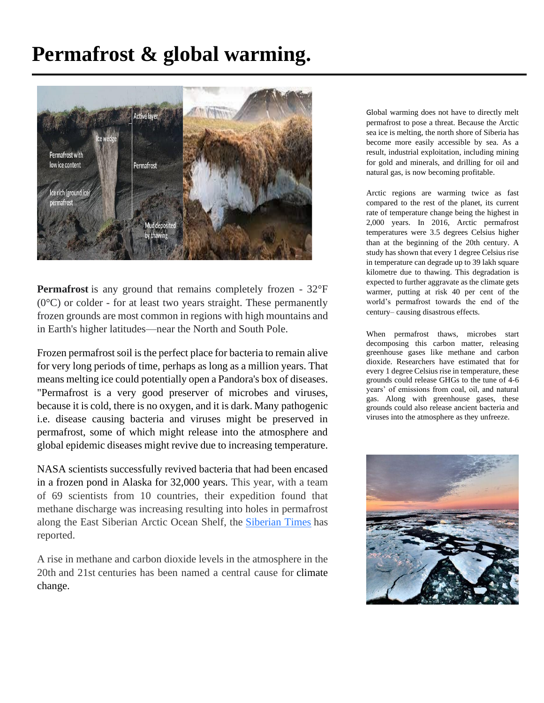# **Permafrost & global warming.**



**Permafrost** is any ground that remains completely frozen - 32°F (0°C) or colder - for at least two years straight. These permanently frozen grounds are most common in regions with high mountains and in Earth's higher latitudes—near the North and South Pole.

Frozen permafrost soil is the perfect place for bacteria to remain alive for very long periods of time, perhaps as long as a million years. That means melting ice could potentially open a Pandora's box of diseases. "Permafrost is a very good preserver of microbes and viruses, because it is cold, there is no oxygen, and it is dark. Many pathogenic i.e. disease causing bacteria and viruses might be preserved in permafrost, some of which might release into the atmosphere and global epidemic diseases might revive due to increasing temperature.

NASA scientists successfully revived bacteria that had been encased in a frozen pond in Alaska for 32,000 years. This year, with a team of 69 scientists from 10 countries, their expedition found that methane discharge was increasing resulting into holes in permafrost along the East Siberian Arctic Ocean Shelf, the [Siberian Times](https://siberiantimes.com/other/others/news/bubbling-methane-craters-and-super-seeps-is-this-the-worrying-new-face-of-the-undersea-arctic/) has reported.

A rise in methane and carbon dioxide levels in the atmosphere in the 20th and 21st centuries has been named a central cause for [climate](https://www.9news.com.au/climate-change)  [change.](https://www.9news.com.au/climate-change)

Global warming does not have to directly melt permafrost to pose a threat. Because the Arctic sea ice is melting, the north shore of Siberia has become more easily accessible by sea. As a result, industrial exploitation, including mining for gold and minerals, and drilling for oil and natural gas, is now becoming profitable.

Arctic regions are warming twice as fast compared to the rest of the planet, its current rate of temperature change being the highest in 2,000 years. In 2016, Arctic permafrost temperatures were 3.5 degrees Celsius higher than at the beginning of the 20th century. A study has shown that every 1 degree Celsius rise in temperature can degrade up to 39 lakh square kilometre due to thawing. This degradation is expected to further aggravate as the climate gets warmer, putting at risk 40 per cent of the world's permafrost towards the end of the century– causing disastrous effects.

When permafrost thaws, microbes start decomposing this carbon matter, releasing greenhouse gases like methane and carbon dioxide. Researchers have estimated that for every 1 degree Celsius rise in temperature, these grounds could release GHGs to the tune of 4-6 years' of emissions from coal, oil, and natural gas. Along with greenhouse gases, these grounds could also release ancient bacteria and viruses into the atmosphere as they unfreeze.